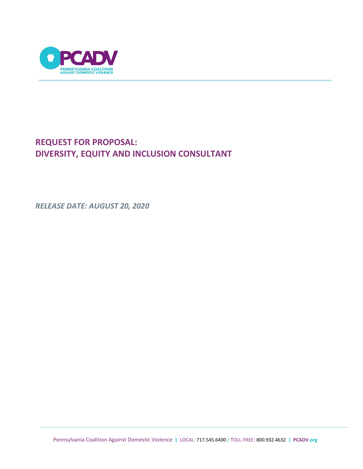

# **REQUEST FOR PROPOSAL: DIVERSITY, EQUITY AND INCLUSION CONSULTANT**

*RELEASE DATE: AUGUST 20, 2020*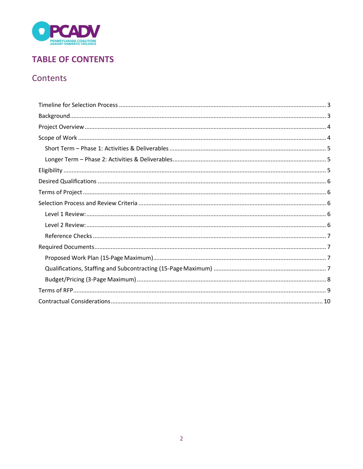

# **TABLE OF CONTENTS**

# Contents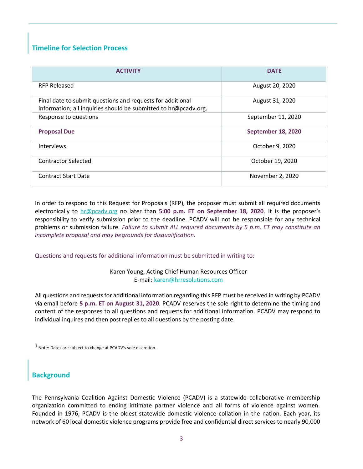## <span id="page-2-0"></span>**Timeline for Selection Process**

| <b>ACTIVITY</b>                                                                                                               | <b>DATE</b>        |
|-------------------------------------------------------------------------------------------------------------------------------|--------------------|
| <b>RFP Released</b>                                                                                                           | August 20, 2020    |
| Final date to submit questions and requests for additional<br>information; all inquiries should be submitted to hr@pcadv.org. | August 31, 2020    |
| Response to questions                                                                                                         | September 11, 2020 |
| <b>Proposal Due</b>                                                                                                           | September 18, 2020 |
| <b>Interviews</b>                                                                                                             | October 9, 2020    |
| <b>Contractor Selected</b>                                                                                                    | October 19, 2020   |
| <b>Contract Start Date</b>                                                                                                    | November 2, 2020   |

In order to respond to this Request for Proposals (RFP), the proposer must submit all required documents electronically to [hr@pcadv.org](mailto:hr@pcadv.org) no later than **5:00 p.m. ET on September 18, 2020**. It is the proposer's responsibility to verify submission prior to the deadline. PCADV will not be responsible for any technical problems or submission failure. *Failure to submit ALL required documents by 5 p.m. ET may constitute an incomplete proposal and may begrounds for disqualification.*

Questions and requests for additional information must be submitted in writing to:

Karen Young, Acting Chief Human Resources Officer E-mail[: karen@hrresolutions.com](mailto:karen@hrresolutions.com)

All questions and requestsfor additional information regarding this RFP must be received in writing by PCADV via email before **5 p.m. ET on August 31, 2020**. PCADV reserves the sole right to determine the timing and content of the responses to all questions and requests for additional information. PCADV may respond to individual inquires and then post replies to all questions by the posting date.

### <span id="page-2-1"></span>**Background**

The Pennsylvania Coalition Against Domestic Violence (PCADV) is a statewide collaborative membership organization committed to ending intimate partner violence and all forms of violence against women. Founded in 1976, PCADV is the oldest statewide domestic violence collation in the nation. Each year, its network of 60 local domestic violence programs provide free and confidential direct services to nearly 90,000

 $1$  Note: Dates are subject to change at PCADV's sole discretion.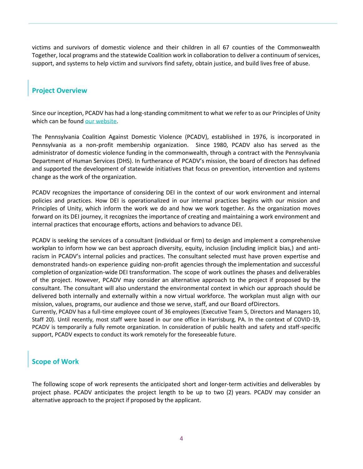victims and survivors of domestic violence and their children in all 67 counties of the Commonwealth Together, local programs and the statewide Coalition work in collaboration to deliver a continuum of services, support, and systems to help victim and survivors find safety, obtain justice, and build lives free of abuse.

### <span id="page-3-0"></span>**Project Overview**

Since our inception, PCADV has had a long-standing commitment to what we refer to as our Principles of Unity which can be found [our website.](https://www.pcadv.org/about-pcadv/)

The Pennsylvania Coalition Against Domestic Violence (PCADV), established in 1976, is incorporated in Pennsylvania as a non-profit membership organization. Since 1980, PCADV also has served as the administrator of domestic violence funding in the commonwealth, through a contract with the Pennsylvania Department of Human Services (DHS). In furtherance of PCADV's mission, the board of directors has defined and supported the development of statewide initiatives that focus on prevention, intervention and systems change as the work of the organization.

PCADV recognizes the importance of considering DEI in the context of our work environment and internal policies and practices. How DEI is operationalized in our internal practices begins with our mission and Principles of Unity, which inform the work we do and how we work together. As the organization moves forward on its DEI journey, it recognizes the importance of creating and maintaining a work environment and internal practices that encourage efforts, actions and behaviors to advance DEI.

PCADV is seeking the services of a consultant (individual or firm) to design and implement a comprehensive workplan to inform how we can best approach diversity, equity, inclusion (including implicit bias,) and antiracism in PCADV's internal policies and practices. The consultant selected must have proven expertise and demonstrated hands-on experience guiding non-profit agencies through the implementation and successful completion of organization-wide DEI transformation. The scope of work outlines the phases and deliverables of the project. However, PCADV may consider an alternative approach to the project if proposed by the consultant. The consultant will also understand the environmental context in which our approach should be delivered both internally and externally within a now virtual workforce. The workplan must align with our mission, values, programs, our audience and those we serve, staff, and our Board ofDirectors.

Currently, PCADV has a full-time employee count of 36 employees (Executive Team 5, Directors and Managers 10, Staff 20). Until recently, most staff were based in our one office in Harrisburg, PA. In the context of COVID-19, PCADV is temporarily a fully remote organization. In consideration of public health and safety and staff-specific support, PCADV expects to conduct its work remotely for the foreseeable future.

### <span id="page-3-1"></span>**Scope of Work**

The following scope of work represents the anticipated short and longer-term activities and deliverables by project phase. PCADV anticipates the project length to be up to two (2) years. PCADV may consider an alternative approach to the project if proposed by the applicant.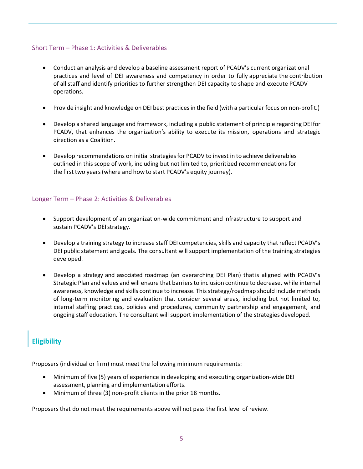#### <span id="page-4-0"></span>Short Term – Phase 1: Activities & Deliverables

- Conduct an analysis and develop a baseline assessment report of PCADV's current organizational practices and level of DEI awareness and competency in order to fully appreciate the contribution of all staff and identify priorities to further strengthen DEI capacity to shape and execute PCADV operations.
- Provide insight and knowledge on DEI best practices in the field (with a particular focus on non-profit.)
- Develop a shared language and framework, including a public statement of principle regarding DEIfor PCADV, that enhances the organization's ability to execute its mission, operations and strategic direction as a Coalition.
- Develop recommendations on initial strategies for PCADV to invest in to achieve deliverables outlined in this scope of work, including but not limited to, prioritized recommendations for the first two years(where and how to start PCADV's equity journey).

### <span id="page-4-1"></span>Longer Term – Phase 2: Activities & Deliverables

- Support development of an organization-wide commitment and infrastructure to support and sustain PCADV's DEI strategy.
- Develop a training strategy to increase staff DEI competencies, skills and capacity that reflect PCADV's DEI public statement and goals. The consultant will support implementation of the training strategies developed.
- Develop a strategy and associated roadmap (an overarching DEI Plan) thatis aligned with PCADV's Strategic Plan and values and will ensure that barriersto inclusion continue to decrease, while internal awareness, knowledge and skills continue to increase. This strategy/roadmap should include methods of long-term monitoring and evaluation that consider several areas, including but not limited to, internal staffing practices, policies and procedures, community partnership and engagement, and ongoing staff education. The consultant will support implementation of the strategies developed.

### <span id="page-4-2"></span>**Eligibility**

Proposers (individual or firm) must meet the following minimum requirements:

- Minimum of five (5) years of experience in developing and executing organization-wide DEI assessment, planning and implementation efforts.
- Minimum of three (3) non-profit clients in the prior 18 months.

Proposers that do not meet the requirements above will not pass the first level of review.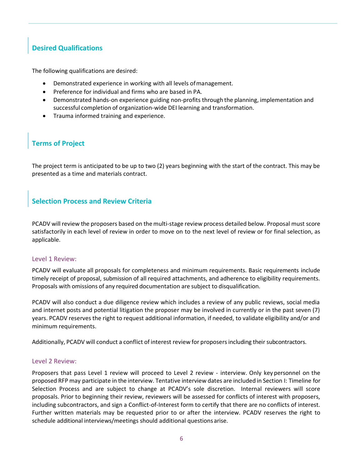# <span id="page-5-0"></span>**Desired Qualifications**

The following qualifications are desired:

- Demonstrated experience in working with all levels ofmanagement.
- Preference for individual and firms who are based in PA.
- Demonstrated hands-on experience guiding non-profits through the planning, implementation and successful completion of organization-wide DEI learning and transformation.
- Trauma informed training and experience.

# <span id="page-5-1"></span>**Terms of Project**

The project term is anticipated to be up to two (2) years beginning with the start of the contract. This may be presented as a time and materials contract.

### <span id="page-5-2"></span>**Selection Process and Review Criteria**

PCADV will review the proposers based on themulti-stage review process detailed below. Proposal must score satisfactorily in each level of review in order to move on to the next level of review or for final selection, as applicable.

### <span id="page-5-3"></span>Level 1 Review:

PCADV will evaluate all proposals for completeness and minimum requirements. Basic requirements include timely receipt of proposal, submission of all required attachments, and adherence to eligibility requirements. Proposals with omissions of any required documentation are subject to disqualification.

PCADV will also conduct a due diligence review which includes a review of any public reviews, social media and internet posts and potential litigation the proposer may be involved in currently or in the past seven (7) years. PCADV reserves the right to request additional information, if needed, to validate eligibility and/or and minimum requirements.

<span id="page-5-4"></span>Additionally, PCADV will conduct a conflict of interest review for proposersincluding their subcontractors.

#### Level 2 Review:

Proposers that pass Level 1 review will proceed to Level 2 review - interview. Only key personnel on the proposed RFP may participate in the interview. Tentative interview dates are included in Section I: Timeline for Selection Process and are subject to change at PCADV's sole discretion. Internal reviewers will score proposals. Prior to beginning their review, reviewers will be assessed for conflicts of interest with proposers, including subcontractors, and sign a Conflict-of-Interest form to certify that there are no conflicts of interest. Further written materials may be requested prior to or after the interview. PCADV reserves the right to schedule additional interviews/meetings should additional questions arise.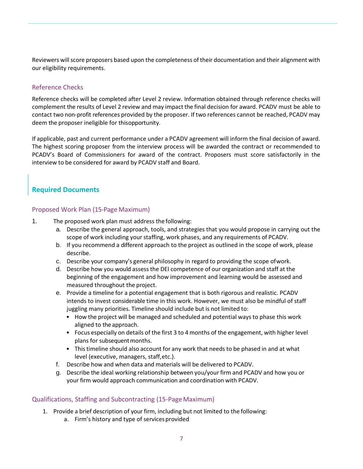Reviewers will score proposers based upon the completeness of their documentation and their alignment with our eligibility requirements.

#### <span id="page-6-0"></span>Reference Checks

Reference checks will be completed after Level 2 review. Information obtained through reference checks will complement the results of Level 2 review and may impact the final decision for award. PCADV must be able to contact two non-profit references provided by the proposer. If two references cannot be reached, PCADV may deem the proposer ineligible for thisopportunity.

If applicable, past and current performance under a PCADV agreement will inform the final decision of award. The highest scoring proposer from the interview process will be awarded the contract or recommended to PCADV's Board of Commissioners for award of the contract. Proposers must score satisfactorily in the interview to be considered for award by PCADV staff and Board.

### <span id="page-6-2"></span><span id="page-6-1"></span>**Required Documents**

#### Proposed Work Plan (15-Page Maximum)

- 1. The proposed work plan must address the following:
	- a. Describe the general approach, tools, and strategies that you would propose in carrying out the scope of work including your staffing, work phases, and any requirements of PCADV.
	- b. If you recommend a different approach to the project as outlined in the scope of work, please describe.
	- c. Describe your company's general philosophy in regard to providing the scope ofwork.
	- d. Describe how you would assess the DEI competence of our organization and staff at the beginning of the engagement and how improvement and learning would be assessed and measured throughout the project.
	- e. Provide a timeline for a potential engagement that is both rigorous and realistic. PCADV intends to invest considerable time in this work. However, we must also be mindful of staff juggling many priorities. Timeline should include but is not limited to:
		- How the project will be managed and scheduled and potential ways to phase this work aligned to the approach.
		- Focus especially on details of the first 3 to 4 months of the engagement, with higher level plans for subsequent months.
		- Thistimeline should also account for any work that needs to be phased in and at what level (executive, managers, staff,etc.).
	- f. Describe how and when data and materials will be delivered to PCADV.
	- g. Describe the ideal working relationship between you/your firm and PCADV and how you or your firm would approach communication and coordination with PCADV.

#### <span id="page-6-3"></span>Qualifications, Staffing and Subcontracting (15-PageMaximum)

- 1. Provide a brief description of your firm, including but not limited to the following:
	- a. Firm's history and type of services provided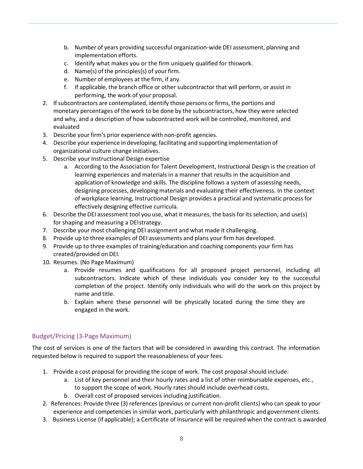- b. Number of years providing successful organization-wide DEI assessment, planning and implementation efforts.
- c. Identify what makes you or the firm uniquely qualified for thiswork.
- d. Name(s) of the principles(s) of your firm.
- e. Number of employees at the firm, if any.
- f. If applicable, the branch office or other subcontractor that will perform, or assist in performing, the work of your proposal.
- 2. Ifsubcontractors are contemplated, identify those persons orfirms, the portions and monetary percentages of the work to be done by the subcontractors, how they were selected and why, and a description of how subcontracted work will be controlled, monitored, and evaluated
- 3. Describe your firm's prior experience with non-profit agencies.
- 4. Describe your experience in developing, facilitating and supporting implementation of organizational culture change initiatives.
- 5. Describe your Instructional Design expertise
	- a. According to the Association for Talent Development, Instructional Design is the creation of learning experiences and materials in a manner that results in the acquisition and application of knowledge and skills. The discipline follows a system of assessing needs, designing processes, developing materials and evaluating their effectiveness. In the context of workplace learning, Instructional Design provides a practical and systematic process for effectively designing effective curricula.
- 6. Describe the DEI assessment tool you use, what it measures, the basisfor its selection, and use(s) for shaping and measuring a DEIstrategy.
- 7. Describe your most challenging DEI assignment and what made it challenging.
- 8. Provide up to three examples of DEI assessments and plans your firm has developed.
- 9. Provide up to three examples of training/education and coaching components your firm has created/provided on DEI.
- 10. Resumes. (No Page Maximum)
	- a. Provide resumes and qualifications for all proposed project personnel, including all subcontractors. Indicate which of these individuals you consider key to the successful completion of the project. Identify only individuals who will do the work on this project by name and title.
	- b. Explain where these personnel will be physically located during the time they are engaged in the work.

### <span id="page-7-0"></span>Budget/Pricing (3-Page Maximum)

The cost of services is one of the factors that will be considered in awarding this contract. The information requested below is required to support the reasonableness of your fees.

- 1. Provide a cost proposal for providing the scope of work. The cost proposal should include:
	- a. List of key personnel and their hourly rates and a list of other reimbursable expenses, etc., to support the scope of work. Hourly rates should include overhead costs.
	- b. Overall cost of proposed services including justification.
- 2. References: Provide three (3) references (previous or current non-profit clients) who can speak to your experience and competencies in similar work, particularly with philanthropic and government clients.
- 3. Business License (if applicable); a Certificate of Insurance will be required when the contract is awarded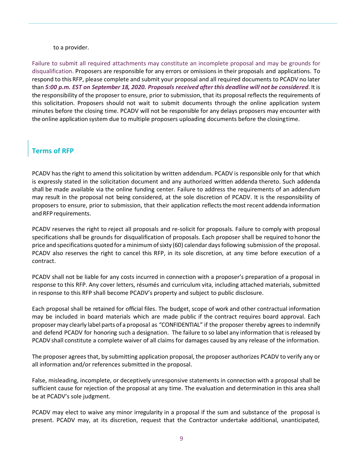#### to a provider.

Failure to submit all required attachments may constitute an incomplete proposal and may be grounds for disqualification. Proposers are responsible for any errors or omissions in their proposals and applications. To respond to this RFP, please complete and submit your proposal and all required documents to PCADV no later than *5:00 p.m. EST on September 18, 2020. Proposals received after this deadline will not be considered*. It is the responsibility of the proposer to ensure, prior to submission, that its proposal reflects the requirements of this solicitation. Proposers should not wait to submit documents through the online application system minutes before the closing time. PCADV will not be responsible for any delays proposers may encounter with the online application system due to multiple proposers uploading documents before the closingtime.

### <span id="page-8-0"></span>**Terms of RFP**

PCADV has the right to amend this solicitation by written addendum. PCADV is responsible only for that which is expressly stated in the solicitation document and any authorized written addenda thereto. Such addenda shall be made available via the online funding center. Failure to address the requirements of an addendum may result in the proposal not being considered, at the sole discretion of PCADV. It is the responsibility of proposers to ensure, prior to submission, that their application reflects the most recent addenda information and RFP requirements.

PCADV reserves the right to reject all proposals and re-solicit for proposals. Failure to comply with proposal specifications shall be grounds for disqualification of proposals. Each proposer shall be required to honor the price and specifications quoted for a minimum of sixty (60) calendar days following submission of the proposal. PCADV also reserves the right to cancel this RFP, in its sole discretion, at any time before execution of a contract.

PCADV shall not be liable for any costs incurred in connection with a proposer's preparation of a proposal in response to this RFP. Any cover letters, résumés and curriculum vita, including attached materials, submitted in response to this RFP shall become PCADV's property and subject to public disclosure.

Each proposal shall be retained for official files. The budget, scope of work and other contractual information may be included in board materials which are made public if the contract requires board approval. Each proposer may clearly label parts of a proposal as "CONFIDENTIAL" if the proposer thereby agrees to indemnify and defend PCADV for honoring such a designation. The failure to so label any information that is released by PCADV shall constitute a complete waiver of all claims for damages caused by any release of the information.

The proposer agrees that, by submitting application proposal, the proposer authorizes PCADV to verify any or all information and/or references submitted in the proposal.

False, misleading, incomplete, or deceptively unresponsive statements in connection with a proposal shall be sufficient cause for rejection of the proposal at any time. The evaluation and determination in this area shall be at PCADV's sole judgment.

PCADV may elect to waive any minor irregularity in a proposal if the sum and substance of the proposal is present. PCADV may, at its discretion, request that the Contractor undertake additional, unanticipated,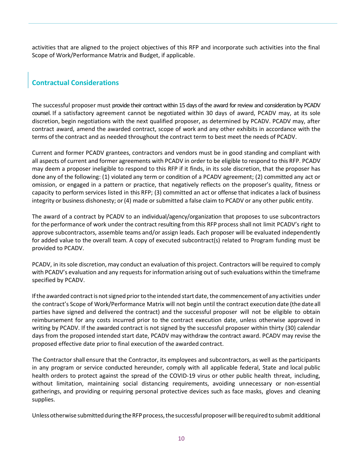activities that are aligned to the project objectives of this RFP and incorporate such activities into the final Scope of Work/Performance Matrix and Budget, if applicable.

## <span id="page-9-0"></span>**Contractual Considerations**

The successful proposer must provide their contract within 15 days of the award for review and consideration by PCADV counsel. If a satisfactory agreement cannot be negotiated within 30 days of award, PCADV may, at its sole discretion, begin negotiations with the next qualified proposer, as determined by PCADV. PCADV may, after contract award, amend the awarded contract, scope of work and any other exhibits in accordance with the terms of the contract and as needed throughout the contract term to best meet the needs of PCADV.

Current and former PCADV grantees, contractors and vendors must be in good standing and compliant with all aspects of current and former agreements with PCADV in order to be eligible to respond to this RFP. PCADV may deem a proposer ineligible to respond to this RFP if it finds, in its sole discretion, that the proposer has done any of the following: (1) violated any term or condition of a PCADV agreement; (2) committed any act or omission, or engaged in a pattern or practice, that negatively reflects on the proposer's quality, fitness or capacity to perform services listed in this RFP; (3) committed an act or offense that indicates a lack of business integrity or business dishonesty; or (4) made or submitted a false claim to PCADV or any other public entity.

The award of a contract by PCADV to an individual/agency/organization that proposes to use subcontractors for the performance of work under the contract resulting from this RFP process shall not limit PCADV's right to approve subcontractors, assemble teams and/or assign leads. Each proposer will be evaluated independently for added value to the overall team. A copy of executed subcontract(s) related to Program funding must be provided to PCADV.

PCADV, in its sole discretion, may conduct an evaluation of this project. Contractors will be required to comply with PCADV's evaluation and any requests for information arising out of such evaluations within the timeframe specified by PCADV.

If the awarded contract is not signed prior to the intended start date, the commencement of any activities under the contract's Scope of Work/Performance Matrix will not begin until the contract execution date (the dateall parties have signed and delivered the contract) and the successful proposer will not be eligible to obtain reimbursement for any costs incurred prior to the contract execution date, unless otherwise approved in writing by PCADV. If the awarded contract is not signed by the successful proposer within thirty (30) calendar days from the proposed intended start date, PCADV may withdraw the contract award. PCADV may revise the proposed effective date prior to final execution of the awarded contract.

The Contractor shall ensure that the Contractor, its employees and subcontractors, as well as the participants in any program or service conducted hereunder, comply with all applicable federal, State and local public health orders to protect against the spread of the COVID-19 virus or other public health threat, including, without limitation, maintaining social distancing requirements, avoiding unnecessary or non-essential gatherings, and providing or requiring personal protective devices such as face masks, gloves and cleaning supplies.

Unless otherwise submitted during the RFP process, the successful proposer will be required to submit additional